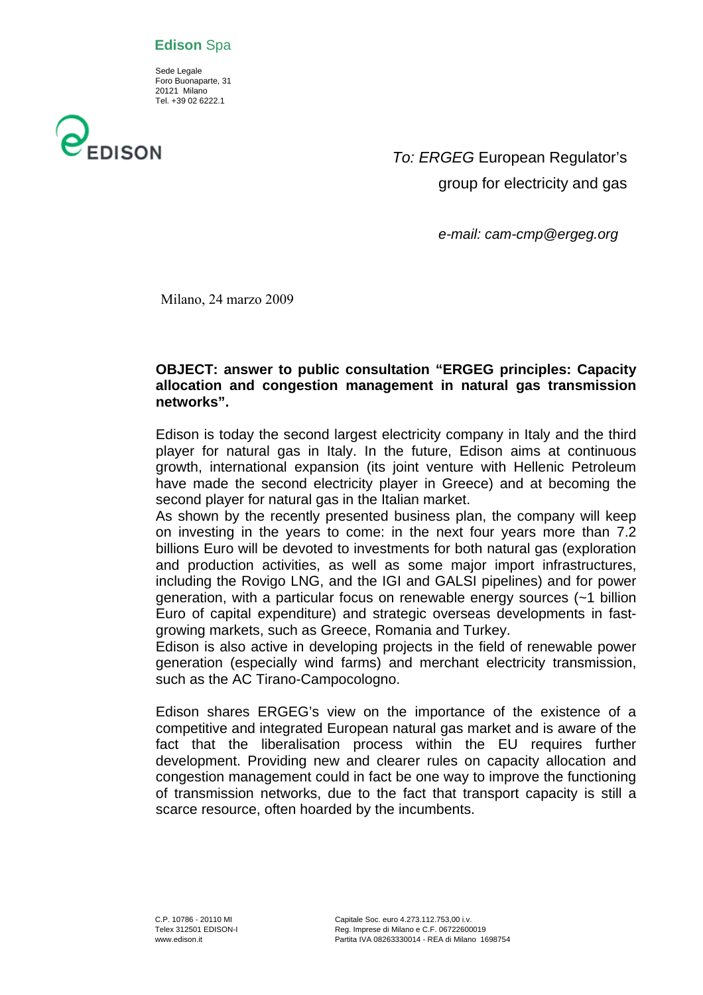### **Edison** Spa

 Sede Legale Foro Buonaparte, 31 20121 Milano Tel. +39 02 6222.1



*To: ERGEG* European Regulator's group for electricity and gas

 *e-mail: cam-cmp@ergeg.org* 

Milano, 24 marzo 2009

### **OBJECT: answer to public consultation "ERGEG principles: Capacity allocation and congestion management in natural gas transmission networks".**

Edison is today the second largest electricity company in Italy and the third player for natural gas in Italy. In the future, Edison aims at continuous growth, international expansion (its joint venture with Hellenic Petroleum have made the second electricity player in Greece) and at becoming the second player for natural gas in the Italian market.

As shown by the recently presented business plan, the company will keep on investing in the years to come: in the next four years more than 7.2 billions Euro will be devoted to investments for both natural gas (exploration and production activities, as well as some major import infrastructures, including the Rovigo LNG, and the IGI and GALSI pipelines) and for power generation, with a particular focus on renewable energy sources (~1 billion Euro of capital expenditure) and strategic overseas developments in fastgrowing markets, such as Greece, Romania and Turkey.

Edison is also active in developing projects in the field of renewable power generation (especially wind farms) and merchant electricity transmission, such as the AC Tirano-Campocologno.

Edison shares ERGEG's view on the importance of the existence of a competitive and integrated European natural gas market and is aware of the fact that the liberalisation process within the EU requires further development. Providing new and clearer rules on capacity allocation and congestion management could in fact be one way to improve the functioning of transmission networks, due to the fact that transport capacity is still a scarce resource, often hoarded by the incumbents.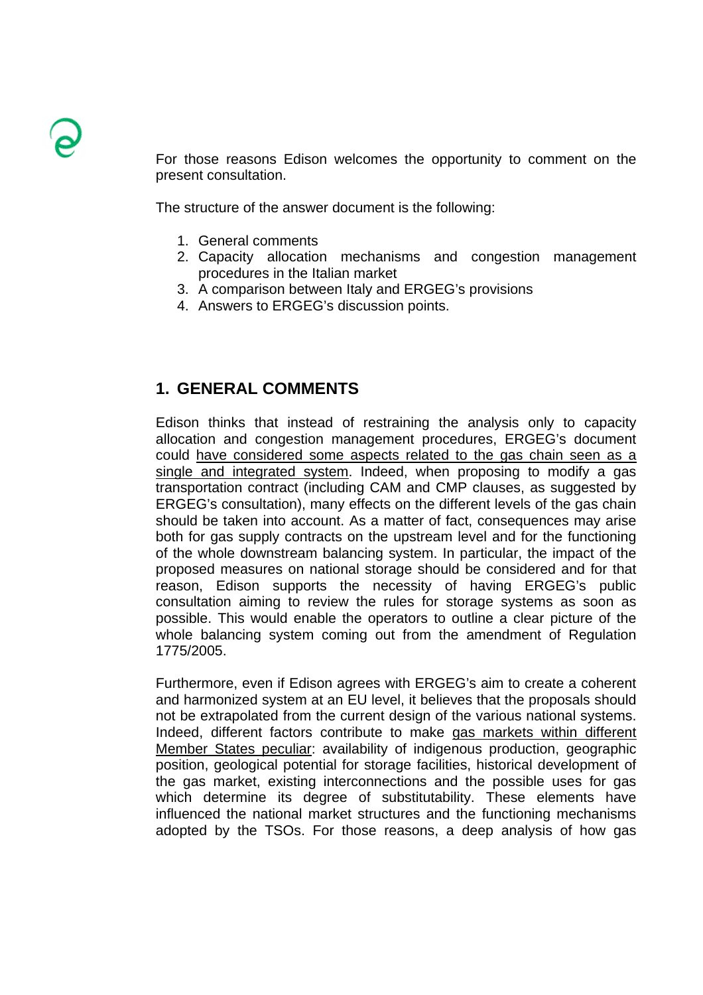For those reasons Edison welcomes the opportunity to comment on the present consultation.

The structure of the answer document is the following:

- 1. General comments
- 2. Capacity allocation mechanisms and congestion management procedures in the Italian market
- 3. A comparison between Italy and ERGEG's provisions
- 4. Answers to ERGEG's discussion points.

# **1. GENERAL COMMENTS**

Edison thinks that instead of restraining the analysis only to capacity allocation and congestion management procedures, ERGEG's document could have considered some aspects related to the gas chain seen as a single and integrated system. Indeed, when proposing to modify a gas transportation contract (including CAM and CMP clauses, as suggested by ERGEG's consultation), many effects on the different levels of the gas chain should be taken into account. As a matter of fact, consequences may arise both for gas supply contracts on the upstream level and for the functioning of the whole downstream balancing system. In particular, the impact of the proposed measures on national storage should be considered and for that reason, Edison supports the necessity of having ERGEG's public consultation aiming to review the rules for storage systems as soon as possible. This would enable the operators to outline a clear picture of the whole balancing system coming out from the amendment of Regulation 1775/2005.

Furthermore, even if Edison agrees with ERGEG's aim to create a coherent and harmonized system at an EU level, it believes that the proposals should not be extrapolated from the current design of the various national systems. Indeed, different factors contribute to make gas markets within different Member States peculiar: availability of indigenous production, geographic position, geological potential for storage facilities, historical development of the gas market, existing interconnections and the possible uses for gas which determine its degree of substitutability. These elements have influenced the national market structures and the functioning mechanisms adopted by the TSOs. For those reasons, a deep analysis of how gas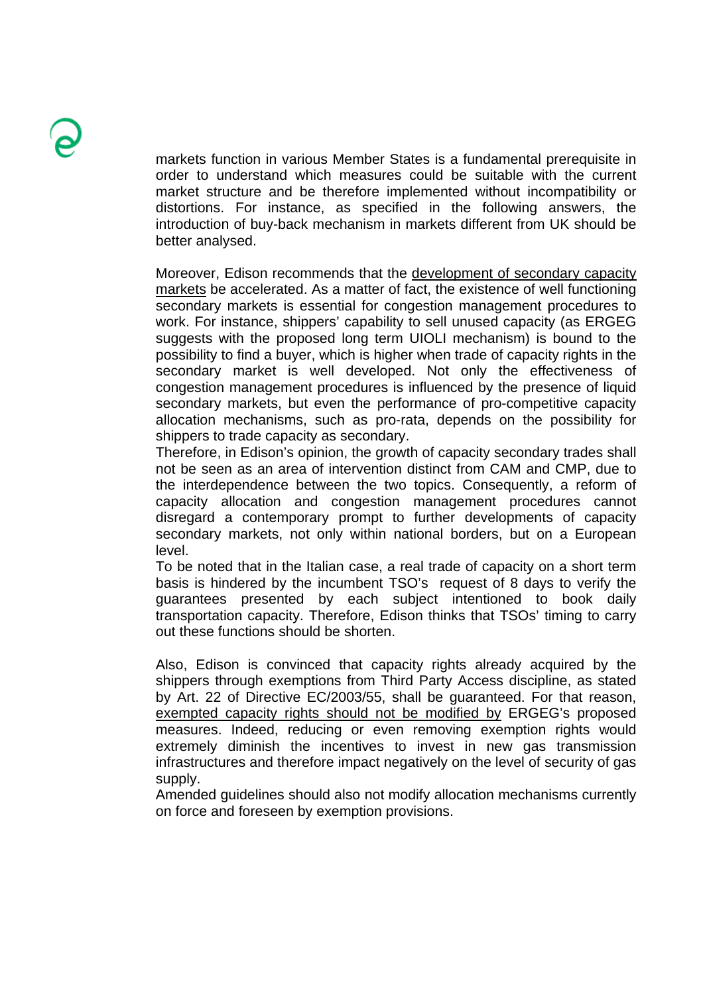markets function in various Member States is a fundamental prerequisite in order to understand which measures could be suitable with the current market structure and be therefore implemented without incompatibility or distortions. For instance, as specified in the following answers, the introduction of buy-back mechanism in markets different from UK should be better analysed.

Moreover, Edison recommends that the development of secondary capacity markets be accelerated. As a matter of fact, the existence of well functioning secondary markets is essential for congestion management procedures to work. For instance, shippers' capability to sell unused capacity (as ERGEG suggests with the proposed long term UIOLI mechanism) is bound to the possibility to find a buyer, which is higher when trade of capacity rights in the secondary market is well developed. Not only the effectiveness of congestion management procedures is influenced by the presence of liquid secondary markets, but even the performance of pro-competitive capacity allocation mechanisms, such as pro-rata, depends on the possibility for shippers to trade capacity as secondary.

Therefore, in Edison's opinion, the growth of capacity secondary trades shall not be seen as an area of intervention distinct from CAM and CMP, due to the interdependence between the two topics. Consequently, a reform of capacity allocation and congestion management procedures cannot disregard a contemporary prompt to further developments of capacity secondary markets, not only within national borders, but on a European level.

To be noted that in the Italian case, a real trade of capacity on a short term basis is hindered by the incumbent TSO's request of 8 days to verify the guarantees presented by each subject intentioned to book daily transportation capacity. Therefore, Edison thinks that TSOs' timing to carry out these functions should be shorten.

Also, Edison is convinced that capacity rights already acquired by the shippers through exemptions from Third Party Access discipline, as stated by Art. 22 of Directive EC/2003/55, shall be guaranteed. For that reason, exempted capacity rights should not be modified by ERGEG's proposed measures. Indeed, reducing or even removing exemption rights would extremely diminish the incentives to invest in new gas transmission infrastructures and therefore impact negatively on the level of security of gas supply.

Amended guidelines should also not modify allocation mechanisms currently on force and foreseen by exemption provisions.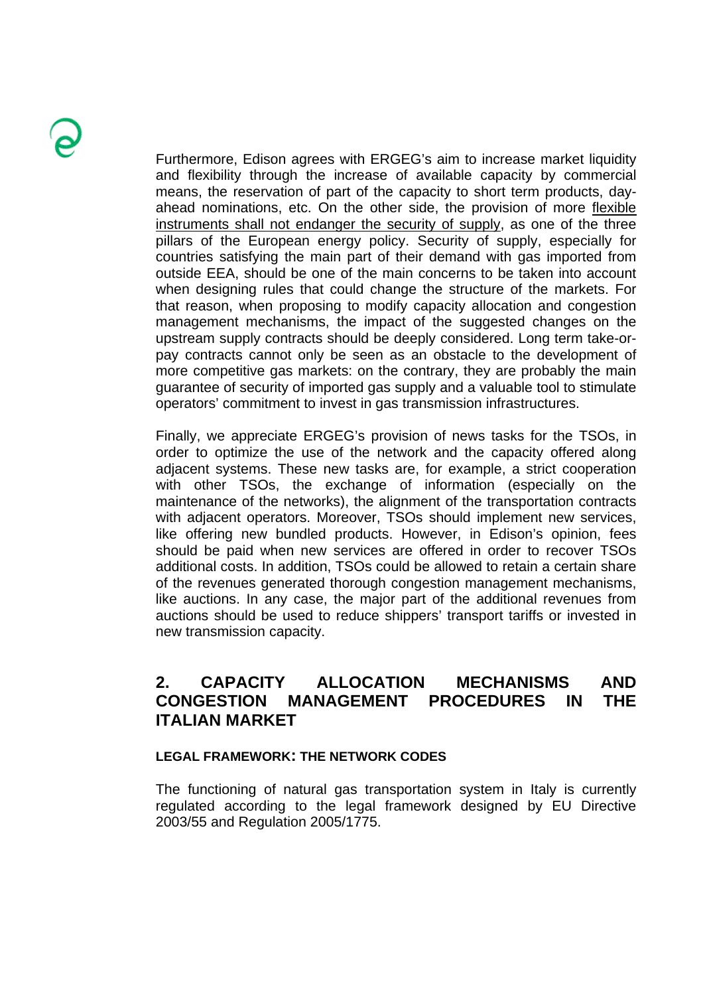Furthermore, Edison agrees with ERGEG's aim to increase market liquidity and flexibility through the increase of available capacity by commercial means, the reservation of part of the capacity to short term products, dayahead nominations, etc. On the other side, the provision of more flexible instruments shall not endanger the security of supply, as one of the three pillars of the European energy policy. Security of supply, especially for countries satisfying the main part of their demand with gas imported from outside EEA, should be one of the main concerns to be taken into account when designing rules that could change the structure of the markets. For that reason, when proposing to modify capacity allocation and congestion management mechanisms, the impact of the suggested changes on the upstream supply contracts should be deeply considered. Long term take-orpay contracts cannot only be seen as an obstacle to the development of more competitive gas markets: on the contrary, they are probably the main guarantee of security of imported gas supply and a valuable tool to stimulate operators' commitment to invest in gas transmission infrastructures.

Finally, we appreciate ERGEG's provision of news tasks for the TSOs, in order to optimize the use of the network and the capacity offered along adjacent systems. These new tasks are, for example, a strict cooperation with other TSOs, the exchange of information (especially on the maintenance of the networks), the alignment of the transportation contracts with adjacent operators. Moreover, TSOs should implement new services, like offering new bundled products. However, in Edison's opinion, fees should be paid when new services are offered in order to recover TSOs additional costs. In addition, TSOs could be allowed to retain a certain share of the revenues generated thorough congestion management mechanisms, like auctions. In any case, the major part of the additional revenues from auctions should be used to reduce shippers' transport tariffs or invested in new transmission capacity.

# **2. CAPACITY ALLOCATION MECHANISMS AND CONGESTION MANAGEMENT PROCEDURES IN THE ITALIAN MARKET**

### **LEGAL FRAMEWORK: THE NETWORK CODES**

The functioning of natural gas transportation system in Italy is currently regulated according to the legal framework designed by EU Directive 2003/55 and Regulation 2005/1775.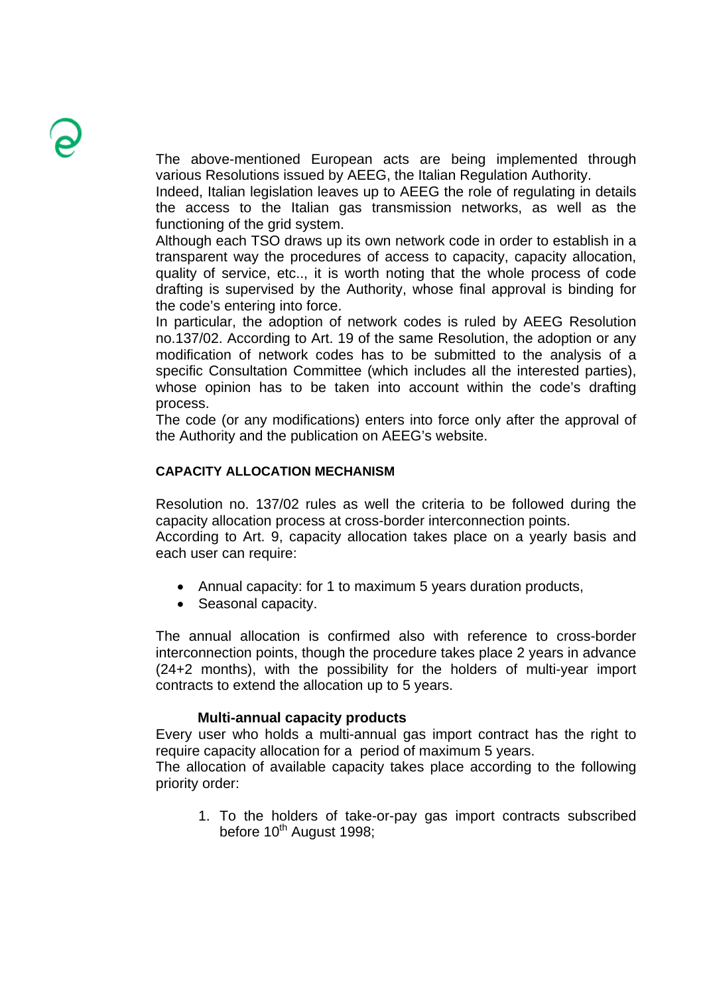The above-mentioned European acts are being implemented through various Resolutions issued by AEEG, the Italian Regulation Authority.

Indeed, Italian legislation leaves up to AEEG the role of regulating in details the access to the Italian gas transmission networks, as well as the functioning of the grid system.

Although each TSO draws up its own network code in order to establish in a transparent way the procedures of access to capacity, capacity allocation, quality of service, etc.., it is worth noting that the whole process of code drafting is supervised by the Authority, whose final approval is binding for the code's entering into force.

In particular, the adoption of network codes is ruled by AEEG Resolution no.137/02. According to Art. 19 of the same Resolution, the adoption or any modification of network codes has to be submitted to the analysis of a specific Consultation Committee (which includes all the interested parties), whose opinion has to be taken into account within the code's drafting process.

The code (or any modifications) enters into force only after the approval of the Authority and the publication on AEEG's website.

### **CAPACITY ALLOCATION MECHANISM**

Resolution no. 137/02 rules as well the criteria to be followed during the capacity allocation process at cross-border interconnection points. According to Art. 9, capacity allocation takes place on a yearly basis and

each user can require:

- Annual capacity: for 1 to maximum 5 years duration products,
- Seasonal capacity.

The annual allocation is confirmed also with reference to cross-border interconnection points, though the procedure takes place 2 years in advance (24+2 months), with the possibility for the holders of multi-year import contracts to extend the allocation up to 5 years.

#### **Multi-annual capacity products**

Every user who holds a multi-annual gas import contract has the right to require capacity allocation for a period of maximum 5 years.

The allocation of available capacity takes place according to the following priority order:

1. To the holders of take-or-pay gas import contracts subscribed before  $10^{th}$  August 1998;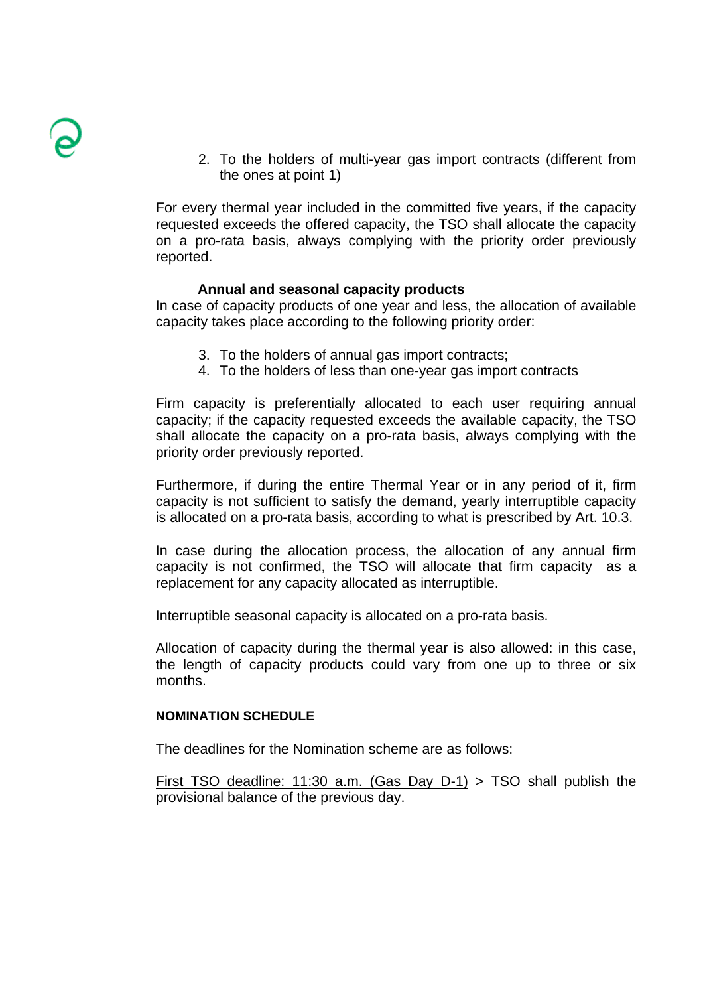2. To the holders of multi-year gas import contracts (different from the ones at point 1)

For every thermal year included in the committed five years, if the capacity requested exceeds the offered capacity, the TSO shall allocate the capacity on a pro-rata basis, always complying with the priority order previously reported.

### **Annual and seasonal capacity products**

In case of capacity products of one year and less, the allocation of available capacity takes place according to the following priority order:

- 3. To the holders of annual gas import contracts;
- 4. To the holders of less than one-year gas import contracts

Firm capacity is preferentially allocated to each user requiring annual capacity; if the capacity requested exceeds the available capacity, the TSO shall allocate the capacity on a pro-rata basis, always complying with the priority order previously reported.

Furthermore, if during the entire Thermal Year or in any period of it, firm capacity is not sufficient to satisfy the demand, yearly interruptible capacity is allocated on a pro-rata basis, according to what is prescribed by Art. 10.3.

In case during the allocation process, the allocation of any annual firm capacity is not confirmed, the TSO will allocate that firm capacity as a replacement for any capacity allocated as interruptible.

Interruptible seasonal capacity is allocated on a pro-rata basis.

Allocation of capacity during the thermal year is also allowed: in this case, the length of capacity products could vary from one up to three or six months.

#### **NOMINATION SCHEDULE**

The deadlines for the Nomination scheme are as follows:

First TSO deadline: 11:30 a.m. (Gas Day D-1) > TSO shall publish the provisional balance of the previous day.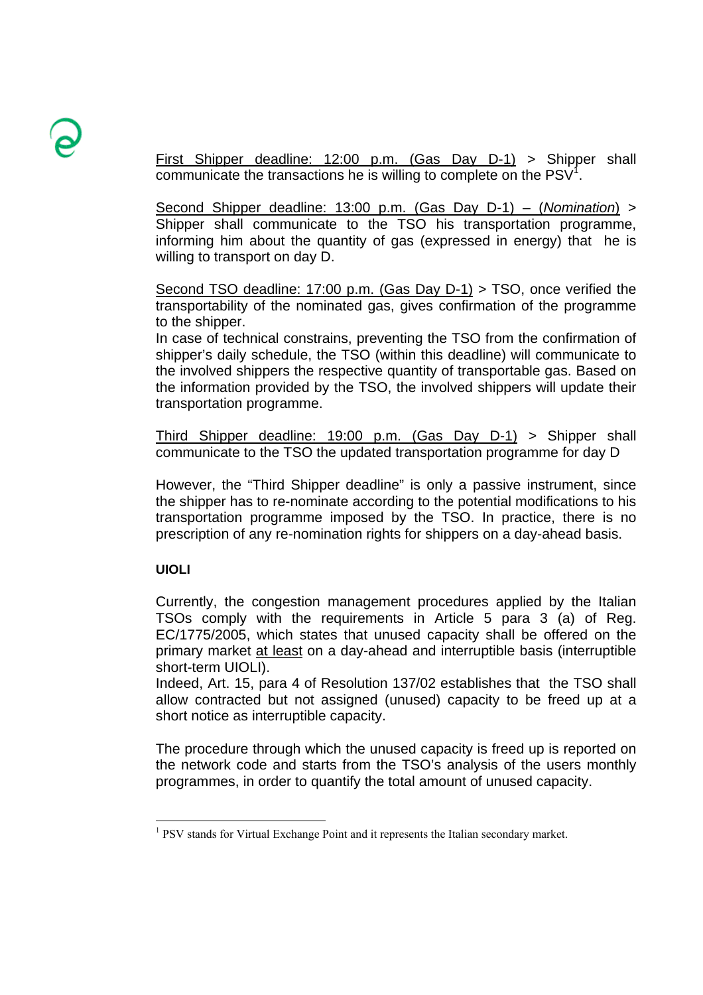First Shipper deadline: 12:00 p.m. (Gas Day D-1) > Shipper shall communicate the transactions he is willing to complete on the  $PSV<sup>1</sup>$ .

Second Shipper deadline: 13:00 p.m. (Gas Day D-1) – (*Nomination*) > Shipper shall communicate to the TSO his transportation programme, informing him about the quantity of gas (expressed in energy) that he is willing to transport on day D.

Second TSO deadline: 17:00 p.m. (Gas Day D-1) > TSO, once verified the transportability of the nominated gas, gives confirmation of the programme to the shipper.

In case of technical constrains, preventing the TSO from the confirmation of shipper's daily schedule, the TSO (within this deadline) will communicate to the involved shippers the respective quantity of transportable gas. Based on the information provided by the TSO, the involved shippers will update their transportation programme.

Third Shipper deadline: 19:00 p.m. (Gas Day D-1) > Shipper shall communicate to the TSO the updated transportation programme for day D

However, the "Third Shipper deadline" is only a passive instrument, since the shipper has to re-nominate according to the potential modifications to his transportation programme imposed by the TSO. In practice, there is no prescription of any re-nomination rights for shippers on a day-ahead basis.

### **UIOLI**

l

Currently, the congestion management procedures applied by the Italian TSOs comply with the requirements in Article 5 para 3 (a) of Reg. EC/1775/2005, which states that unused capacity shall be offered on the primary market at least on a day-ahead and interruptible basis (interruptible short-term UIOLI).

Indeed, Art. 15, para 4 of Resolution 137/02 establishes that the TSO shall allow contracted but not assigned (unused) capacity to be freed up at a short notice as interruptible capacity.

The procedure through which the unused capacity is freed up is reported on the network code and starts from the TSO's analysis of the users monthly programmes, in order to quantify the total amount of unused capacity.

<sup>&</sup>lt;sup>1</sup> PSV stands for Virtual Exchange Point and it represents the Italian secondary market.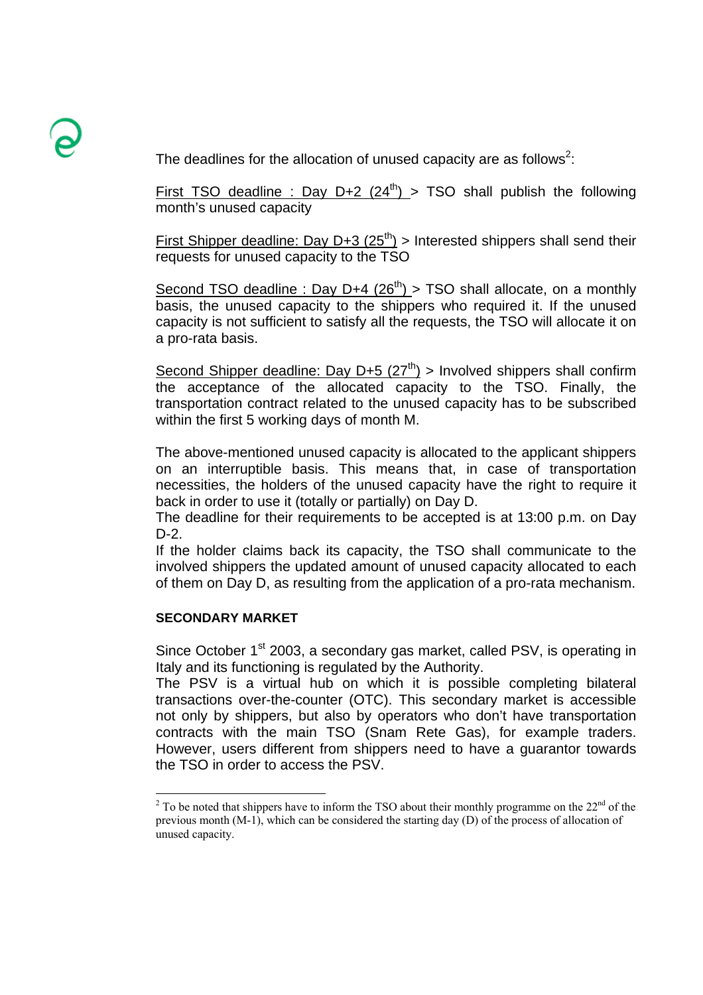The deadlines for the allocation of unused capacity are as follows<sup>2</sup>:

First TSO deadline : Day D+2  $(24^{th})$  > TSO shall publish the following month's unused capacity

First Shipper deadline: Day D+3  $(25<sup>th</sup>)$  > Interested shippers shall send their requests for unused capacity to the TSO

Second TSO deadline : Day D+4  $(26<sup>th</sup>)$  > TSO shall allocate, on a monthly basis, the unused capacity to the shippers who required it. If the unused capacity is not sufficient to satisfy all the requests, the TSO will allocate it on a pro-rata basis.

Second Shipper deadline: Day D+5  $(27<sup>th</sup>)$  > Involved shippers shall confirm the acceptance of the allocated capacity to the TSO. Finally, the transportation contract related to the unused capacity has to be subscribed within the first 5 working days of month M.

The above-mentioned unused capacity is allocated to the applicant shippers on an interruptible basis. This means that, in case of transportation necessities, the holders of the unused capacity have the right to require it back in order to use it (totally or partially) on Day D.

The deadline for their requirements to be accepted is at 13:00 p.m. on Day D-2.

If the holder claims back its capacity, the TSO shall communicate to the involved shippers the updated amount of unused capacity allocated to each of them on Day D, as resulting from the application of a pro-rata mechanism.

### **SECONDARY MARKET**

l

Since October 1<sup>st</sup> 2003, a secondary gas market, called PSV, is operating in Italy and its functioning is regulated by the Authority.

The PSV is a virtual hub on which it is possible completing bilateral transactions over-the-counter (OTC). This secondary market is accessible not only by shippers, but also by operators who don't have transportation contracts with the main TSO (Snam Rete Gas), for example traders. However, users different from shippers need to have a guarantor towards the TSO in order to access the PSV.

<sup>&</sup>lt;sup>2</sup> To be noted that shippers have to inform the TSO about their monthly programme on the  $22<sup>nd</sup>$  of the previous month (M-1), which can be considered the starting day (D) of the process of allocation of unused capacity.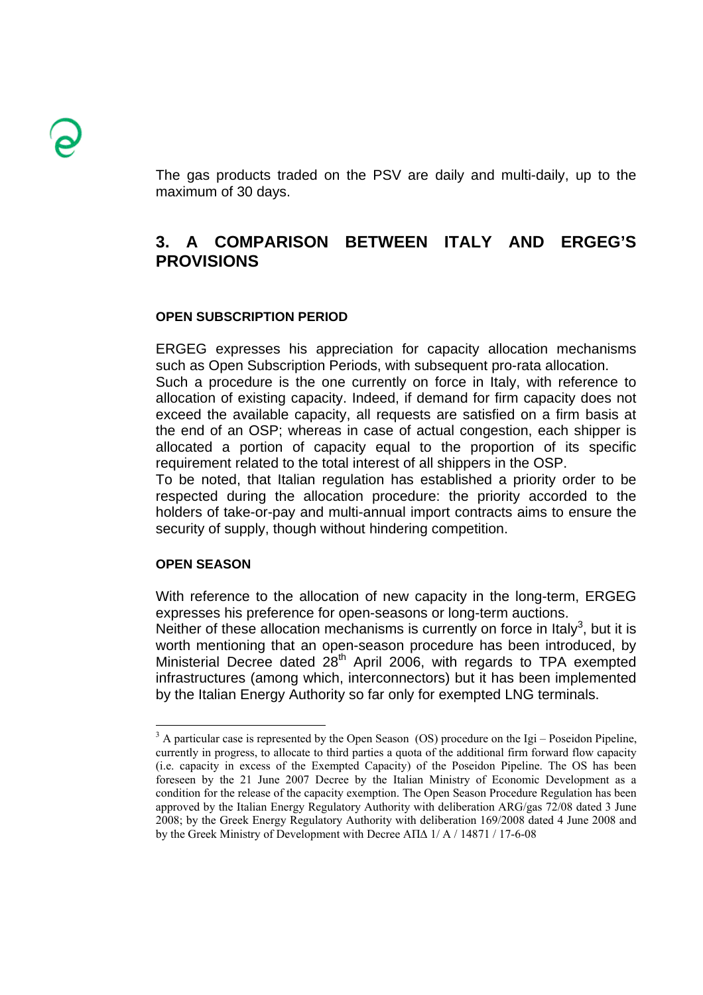The gas products traded on the PSV are daily and multi-daily, up to the maximum of 30 days.

# **3. A COMPARISON BETWEEN ITALY AND ERGEG'S PROVISIONS**

### **OPEN SUBSCRIPTION PERIOD**

ERGEG expresses his appreciation for capacity allocation mechanisms such as Open Subscription Periods, with subsequent pro-rata allocation.

Such a procedure is the one currently on force in Italy, with reference to allocation of existing capacity. Indeed, if demand for firm capacity does not exceed the available capacity, all requests are satisfied on a firm basis at the end of an OSP; whereas in case of actual congestion, each shipper is allocated a portion of capacity equal to the proportion of its specific requirement related to the total interest of all shippers in the OSP.

To be noted, that Italian regulation has established a priority order to be respected during the allocation procedure: the priority accorded to the holders of take-or-pay and multi-annual import contracts aims to ensure the security of supply, though without hindering competition.

#### **OPEN SEASON**

With reference to the allocation of new capacity in the long-term, ERGEG expresses his preference for open-seasons or long-term auctions.

Neither of these allocation mechanisms is currently on force in Italy<sup>3</sup>, but it is worth mentioning that an open-season procedure has been introduced, by Ministerial Decree dated 28<sup>th</sup> April 2006, with regards to TPA exempted infrastructures (among which, interconnectors) but it has been implemented by the Italian Energy Authority so far only for exempted LNG terminals.

<sup>&</sup>lt;sup>3</sup> A particular case is represented by the Open Season (OS) procedure on the Igi – Poseidon Pipeline, currently in progress, to allocate to third parties a quota of the additional firm forward flow capacity (i.e. capacity in excess of the Exempted Capacity) of the Poseidon Pipeline. The OS has been foreseen by the 21 June 2007 Decree by the Italian Ministry of Economic Development as a condition for the release of the capacity exemption. The Open Season Procedure Regulation has been approved by the Italian Energy Regulatory Authority with deliberation ARG/gas 72/08 dated 3 June 2008; by the Greek Energy Regulatory Authority with deliberation 169/2008 dated 4 June 2008 and by the Greek Ministry of Development with Decree ΑΠ∆ 1/ Α / 14871 / 17-6-08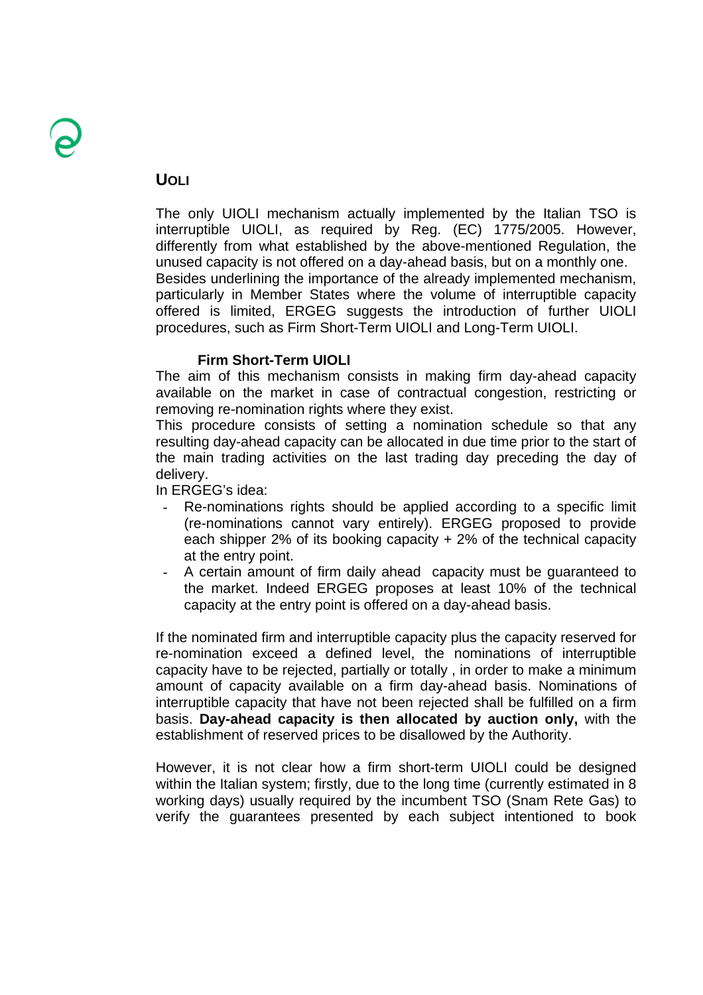## **UOLI**

The only UIOLI mechanism actually implemented by the Italian TSO is interruptible UIOLI, as required by Reg. (EC) 1775/2005. However, differently from what established by the above-mentioned Regulation, the unused capacity is not offered on a day-ahead basis, but on a monthly one. Besides underlining the importance of the already implemented mechanism, particularly in Member States where the volume of interruptible capacity offered is limited, ERGEG suggests the introduction of further UIOLI procedures, such as Firm Short-Term UIOLI and Long-Term UIOLI.

### **Firm Short-Term UIOLI**

The aim of this mechanism consists in making firm day-ahead capacity available on the market in case of contractual congestion, restricting or removing re-nomination rights where they exist.

This procedure consists of setting a nomination schedule so that any resulting day-ahead capacity can be allocated in due time prior to the start of the main trading activities on the last trading day preceding the day of delivery.

In ERGEG's idea:

- Re-nominations rights should be applied according to a specific limit (re-nominations cannot vary entirely). ERGEG proposed to provide each shipper 2% of its booking capacity + 2% of the technical capacity at the entry point.
- A certain amount of firm daily ahead capacity must be guaranteed to the market. Indeed ERGEG proposes at least 10% of the technical capacity at the entry point is offered on a day-ahead basis.

If the nominated firm and interruptible capacity plus the capacity reserved for re-nomination exceed a defined level, the nominations of interruptible capacity have to be rejected, partially or totally , in order to make a minimum amount of capacity available on a firm day-ahead basis. Nominations of interruptible capacity that have not been rejected shall be fulfilled on a firm basis. **Day-ahead capacity is then allocated by auction only,** with the establishment of reserved prices to be disallowed by the Authority.

However, it is not clear how a firm short-term UIOLI could be designed within the Italian system; firstly, due to the long time (currently estimated in 8 working days) usually required by the incumbent TSO (Snam Rete Gas) to verify the guarantees presented by each subject intentioned to book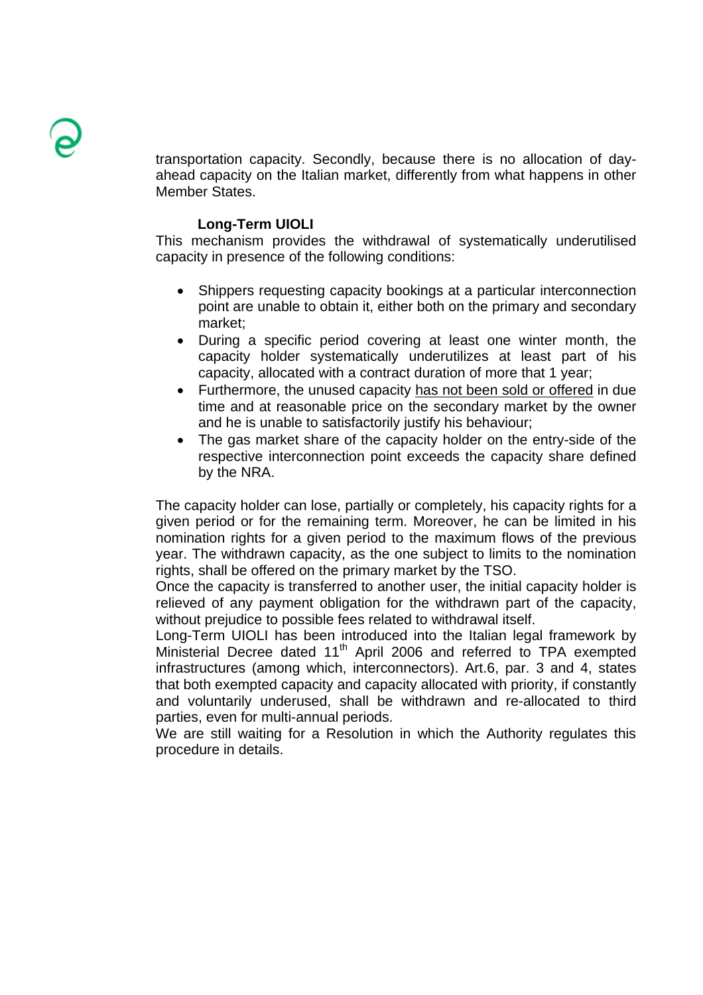transportation capacity. Secondly, because there is no allocation of dayahead capacity on the Italian market, differently from what happens in other Member States.

#### **Long-Term UIOLI**

This mechanism provides the withdrawal of systematically underutilised capacity in presence of the following conditions:

- Shippers requesting capacity bookings at a particular interconnection point are unable to obtain it, either both on the primary and secondary market;
- During a specific period covering at least one winter month, the capacity holder systematically underutilizes at least part of his capacity, allocated with a contract duration of more that 1 year;
- Furthermore, the unused capacity has not been sold or offered in due time and at reasonable price on the secondary market by the owner and he is unable to satisfactorily justify his behaviour;
- The gas market share of the capacity holder on the entry-side of the respective interconnection point exceeds the capacity share defined by the NRA.

The capacity holder can lose, partially or completely, his capacity rights for a given period or for the remaining term. Moreover, he can be limited in his nomination rights for a given period to the maximum flows of the previous year. The withdrawn capacity, as the one subject to limits to the nomination rights, shall be offered on the primary market by the TSO.

Once the capacity is transferred to another user, the initial capacity holder is relieved of any payment obligation for the withdrawn part of the capacity, without prejudice to possible fees related to withdrawal itself.

Long-Term UIOLI has been introduced into the Italian legal framework by Ministerial Decree dated 11<sup>th</sup> April 2006 and referred to TPA exempted infrastructures (among which, interconnectors). Art.6, par. 3 and 4, states that both exempted capacity and capacity allocated with priority, if constantly and voluntarily underused, shall be withdrawn and re-allocated to third parties, even for multi-annual periods.

We are still waiting for a Resolution in which the Authority regulates this procedure in details.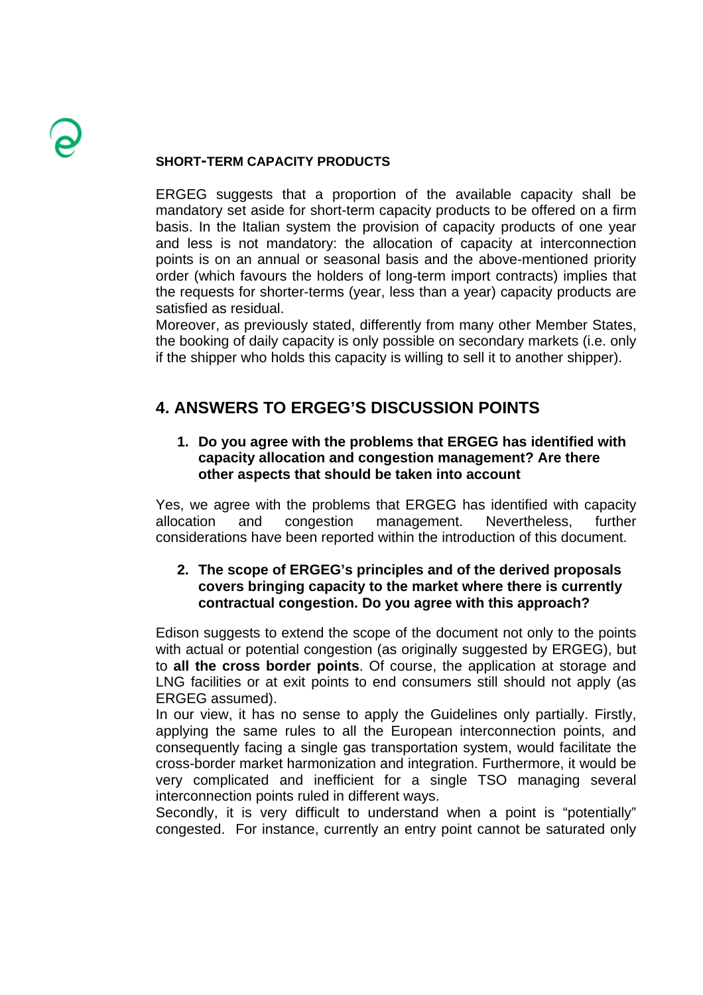## **SHORT-TERM CAPACITY PRODUCTS**

ERGEG suggests that a proportion of the available capacity shall be mandatory set aside for short-term capacity products to be offered on a firm basis. In the Italian system the provision of capacity products of one year and less is not mandatory: the allocation of capacity at interconnection points is on an annual or seasonal basis and the above-mentioned priority order (which favours the holders of long-term import contracts) implies that the requests for shorter-terms (year, less than a year) capacity products are satisfied as residual.

Moreover, as previously stated, differently from many other Member States, the booking of daily capacity is only possible on secondary markets (i.e. only if the shipper who holds this capacity is willing to sell it to another shipper).

# **4. ANSWERS TO ERGEG'S DISCUSSION POINTS**

## **1. Do you agree with the problems that ERGEG has identified with capacity allocation and congestion management? Are there other aspects that should be taken into account**

Yes, we agree with the problems that ERGEG has identified with capacity allocation and congestion management. Nevertheless, further considerations have been reported within the introduction of this document.

## **2. The scope of ERGEG's principles and of the derived proposals covers bringing capacity to the market where there is currently contractual congestion. Do you agree with this approach?**

Edison suggests to extend the scope of the document not only to the points with actual or potential congestion (as originally suggested by ERGEG), but to **all the cross border points**. Of course, the application at storage and LNG facilities or at exit points to end consumers still should not apply (as ERGEG assumed).

In our view, it has no sense to apply the Guidelines only partially. Firstly, applying the same rules to all the European interconnection points, and consequently facing a single gas transportation system, would facilitate the cross-border market harmonization and integration. Furthermore, it would be very complicated and inefficient for a single TSO managing several interconnection points ruled in different ways.

Secondly, it is very difficult to understand when a point is "potentially" congested. For instance, currently an entry point cannot be saturated only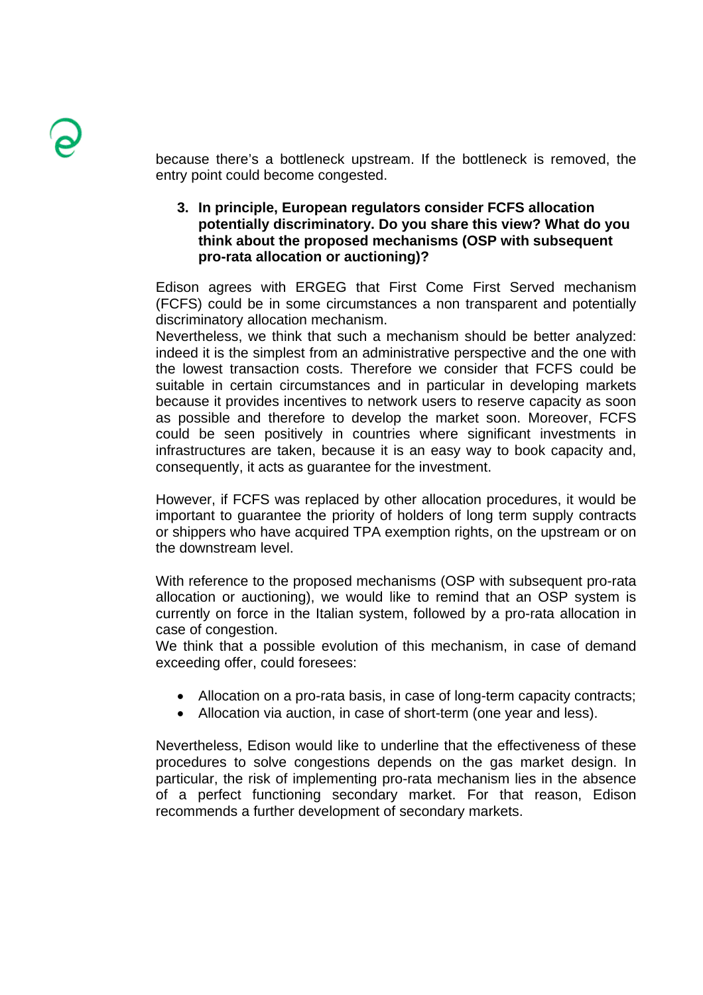because there's a bottleneck upstream. If the bottleneck is removed, the entry point could become congested.

**3. In principle, European regulators consider FCFS allocation potentially discriminatory. Do you share this view? What do you think about the proposed mechanisms (OSP with subsequent pro-rata allocation or auctioning)?** 

Edison agrees with ERGEG that First Come First Served mechanism (FCFS) could be in some circumstances a non transparent and potentially discriminatory allocation mechanism.

Nevertheless, we think that such a mechanism should be better analyzed: indeed it is the simplest from an administrative perspective and the one with the lowest transaction costs. Therefore we consider that FCFS could be suitable in certain circumstances and in particular in developing markets because it provides incentives to network users to reserve capacity as soon as possible and therefore to develop the market soon. Moreover, FCFS could be seen positively in countries where significant investments in infrastructures are taken, because it is an easy way to book capacity and, consequently, it acts as guarantee for the investment.

However, if FCFS was replaced by other allocation procedures, it would be important to guarantee the priority of holders of long term supply contracts or shippers who have acquired TPA exemption rights, on the upstream or on the downstream level.

With reference to the proposed mechanisms (OSP with subsequent pro-rata allocation or auctioning), we would like to remind that an OSP system is currently on force in the Italian system, followed by a pro-rata allocation in case of congestion.

We think that a possible evolution of this mechanism, in case of demand exceeding offer, could foresees:

- Allocation on a pro-rata basis, in case of long-term capacity contracts;
- Allocation via auction, in case of short-term (one year and less).

Nevertheless, Edison would like to underline that the effectiveness of these procedures to solve congestions depends on the gas market design. In particular, the risk of implementing pro-rata mechanism lies in the absence of a perfect functioning secondary market. For that reason, Edison recommends a further development of secondary markets.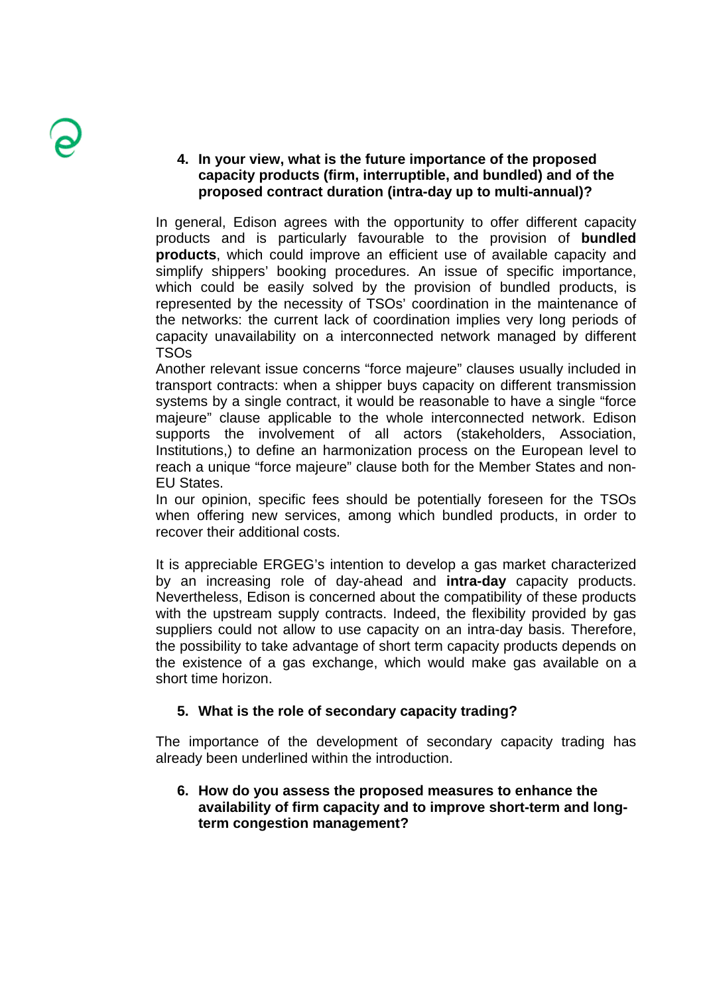## **4. In your view, what is the future importance of the proposed capacity products (firm, interruptible, and bundled) and of the proposed contract duration (intra-day up to multi-annual)?**

In general, Edison agrees with the opportunity to offer different capacity products and is particularly favourable to the provision of **bundled products**, which could improve an efficient use of available capacity and simplify shippers' booking procedures. An issue of specific importance, which could be easily solved by the provision of bundled products, is represented by the necessity of TSOs' coordination in the maintenance of the networks: the current lack of coordination implies very long periods of capacity unavailability on a interconnected network managed by different TSOs

Another relevant issue concerns "force majeure" clauses usually included in transport contracts: when a shipper buys capacity on different transmission systems by a single contract, it would be reasonable to have a single "force majeure" clause applicable to the whole interconnected network. Edison supports the involvement of all actors (stakeholders, Association, Institutions,) to define an harmonization process on the European level to reach a unique "force majeure" clause both for the Member States and non-EU States.

In our opinion, specific fees should be potentially foreseen for the TSOs when offering new services, among which bundled products, in order to recover their additional costs.

It is appreciable ERGEG's intention to develop a gas market characterized by an increasing role of day-ahead and **intra-day** capacity products. Nevertheless, Edison is concerned about the compatibility of these products with the upstream supply contracts. Indeed, the flexibility provided by gas suppliers could not allow to use capacity on an intra-day basis. Therefore, the possibility to take advantage of short term capacity products depends on the existence of a gas exchange, which would make gas available on a short time horizon.

## **5. What is the role of secondary capacity trading?**

The importance of the development of secondary capacity trading has already been underlined within the introduction.

## **6. How do you assess the proposed measures to enhance the availability of firm capacity and to improve short-term and longterm congestion management?**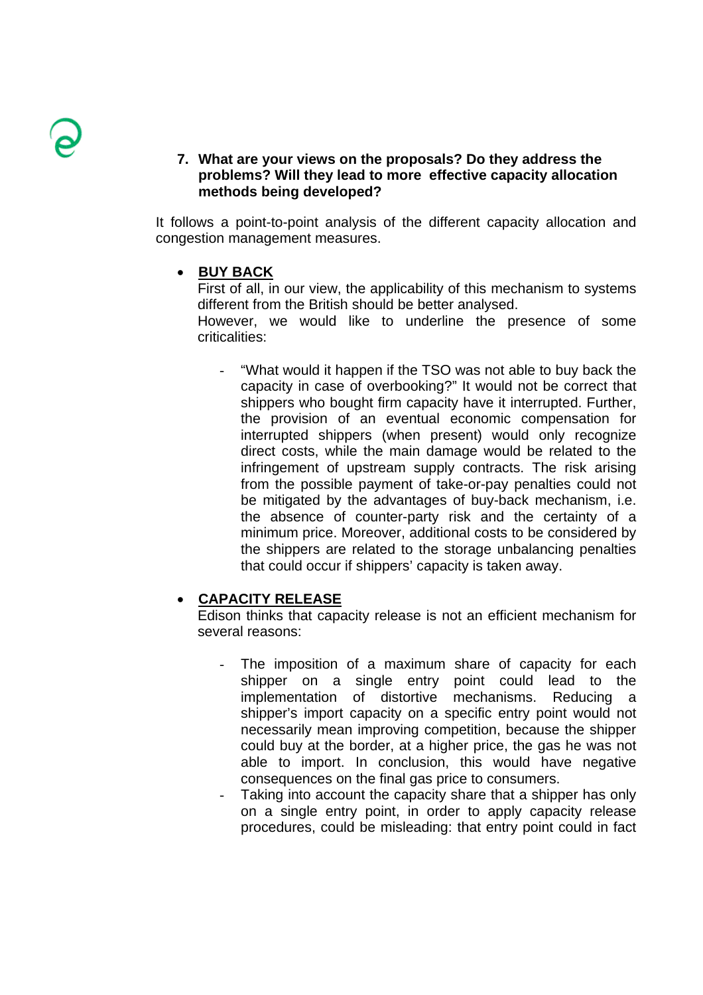### **7. What are your views on the proposals? Do they address the problems? Will they lead to more effective capacity allocation methods being developed?**

It follows a point-to-point analysis of the different capacity allocation and congestion management measures.

### • **BUY BACK**

First of all, in our view, the applicability of this mechanism to systems different from the British should be better analysed. However, we would like to underline the presence of some criticalities:

"What would it happen if the TSO was not able to buy back the capacity in case of overbooking?" It would not be correct that shippers who bought firm capacity have it interrupted. Further, the provision of an eventual economic compensation for interrupted shippers (when present) would only recognize direct costs, while the main damage would be related to the infringement of upstream supply contracts. The risk arising from the possible payment of take-or-pay penalties could not be mitigated by the advantages of buy-back mechanism, i.e. the absence of counter-party risk and the certainty of a minimum price. Moreover, additional costs to be considered by the shippers are related to the storage unbalancing penalties that could occur if shippers' capacity is taken away.

### • **CAPACITY RELEASE**

Edison thinks that capacity release is not an efficient mechanism for several reasons:

- The imposition of a maximum share of capacity for each shipper on a single entry point could lead to the implementation of distortive mechanisms. Reducing a shipper's import capacity on a specific entry point would not necessarily mean improving competition, because the shipper could buy at the border, at a higher price, the gas he was not able to import. In conclusion, this would have negative consequences on the final gas price to consumers.
- Taking into account the capacity share that a shipper has only on a single entry point, in order to apply capacity release procedures, could be misleading: that entry point could in fact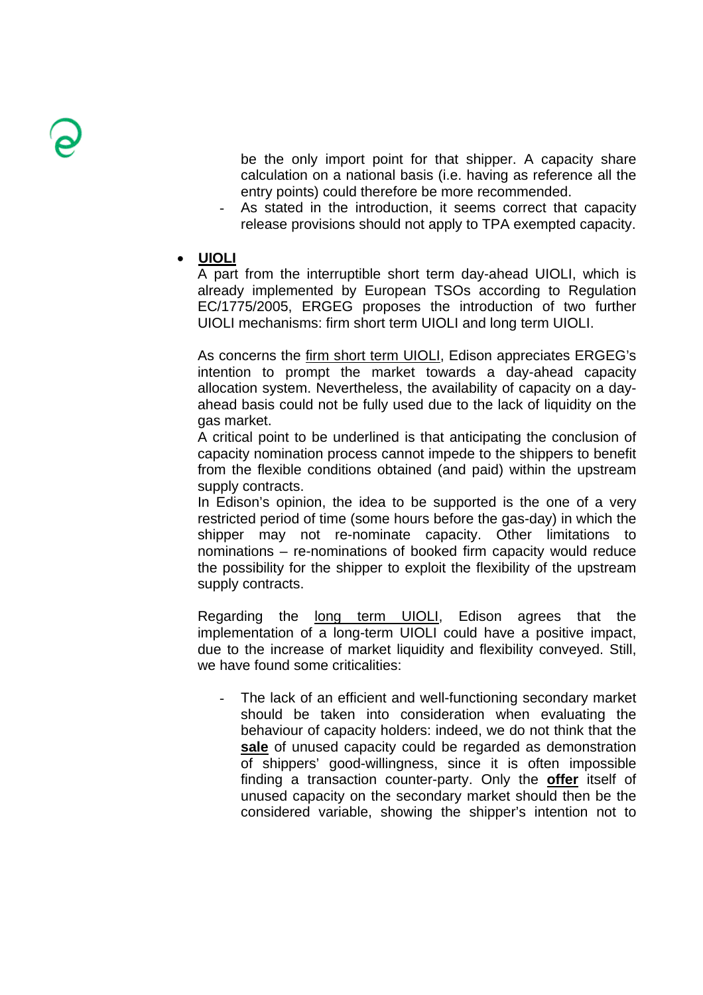be the only import point for that shipper. A capacity share calculation on a national basis (i.e. having as reference all the entry points) could therefore be more recommended.

- As stated in the introduction, it seems correct that capacity release provisions should not apply to TPA exempted capacity.
- **UIOLI**

A part from the interruptible short term day-ahead UIOLI, which is already implemented by European TSOs according to Regulation EC/1775/2005, ERGEG proposes the introduction of two further UIOLI mechanisms: firm short term UIOLI and long term UIOLI.

As concerns the firm short term UIOLI, Edison appreciates ERGEG's intention to prompt the market towards a day-ahead capacity allocation system. Nevertheless, the availability of capacity on a dayahead basis could not be fully used due to the lack of liquidity on the gas market.

A critical point to be underlined is that anticipating the conclusion of capacity nomination process cannot impede to the shippers to benefit from the flexible conditions obtained (and paid) within the upstream supply contracts.

In Edison's opinion, the idea to be supported is the one of a very restricted period of time (some hours before the gas-day) in which the shipper may not re-nominate capacity. Other limitations to nominations – re-nominations of booked firm capacity would reduce the possibility for the shipper to exploit the flexibility of the upstream supply contracts.

Regarding the long term UIOLI, Edison agrees that the implementation of a long-term UIOLI could have a positive impact, due to the increase of market liquidity and flexibility conveyed. Still, we have found some criticalities:

- The lack of an efficient and well-functioning secondary market should be taken into consideration when evaluating the behaviour of capacity holders: indeed, we do not think that the **sale** of unused capacity could be regarded as demonstration of shippers' good-willingness, since it is often impossible finding a transaction counter-party. Only the **offer** itself of unused capacity on the secondary market should then be the considered variable, showing the shipper's intention not to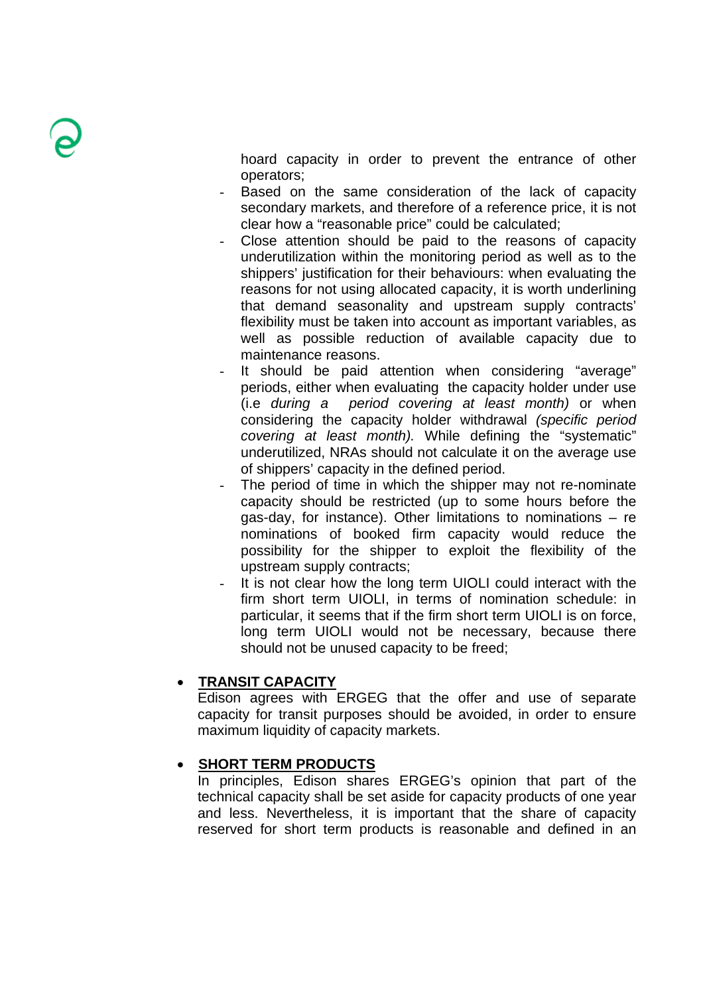hoard capacity in order to prevent the entrance of other operators;

- Based on the same consideration of the lack of capacity secondary markets, and therefore of a reference price, it is not clear how a "reasonable price" could be calculated;
- Close attention should be paid to the reasons of capacity underutilization within the monitoring period as well as to the shippers' justification for their behaviours: when evaluating the reasons for not using allocated capacity, it is worth underlining that demand seasonality and upstream supply contracts' flexibility must be taken into account as important variables, as well as possible reduction of available capacity due to maintenance reasons.
- It should be paid attention when considering "average" periods, either when evaluating the capacity holder under use (i.e *during a period covering at least month)* or when considering the capacity holder withdrawal *(specific period covering at least month).* While defining the "systematic" underutilized, NRAs should not calculate it on the average use of shippers' capacity in the defined period.
- The period of time in which the shipper may not re-nominate capacity should be restricted (up to some hours before the gas-day, for instance). Other limitations to nominations – re nominations of booked firm capacity would reduce the possibility for the shipper to exploit the flexibility of the upstream supply contracts;
- It is not clear how the long term UIOLI could interact with the firm short term UIOLI, in terms of nomination schedule: in particular, it seems that if the firm short term UIOLI is on force, long term UIOLI would not be necessary, because there should not be unused capacity to be freed;

## • **TRANSIT CAPACITY**

Edison agrees with ERGEG that the offer and use of separate capacity for transit purposes should be avoided, in order to ensure maximum liquidity of capacity markets.

## • **SHORT TERM PRODUCTS**

In principles, Edison shares ERGEG's opinion that part of the technical capacity shall be set aside for capacity products of one year and less. Nevertheless, it is important that the share of capacity reserved for short term products is reasonable and defined in an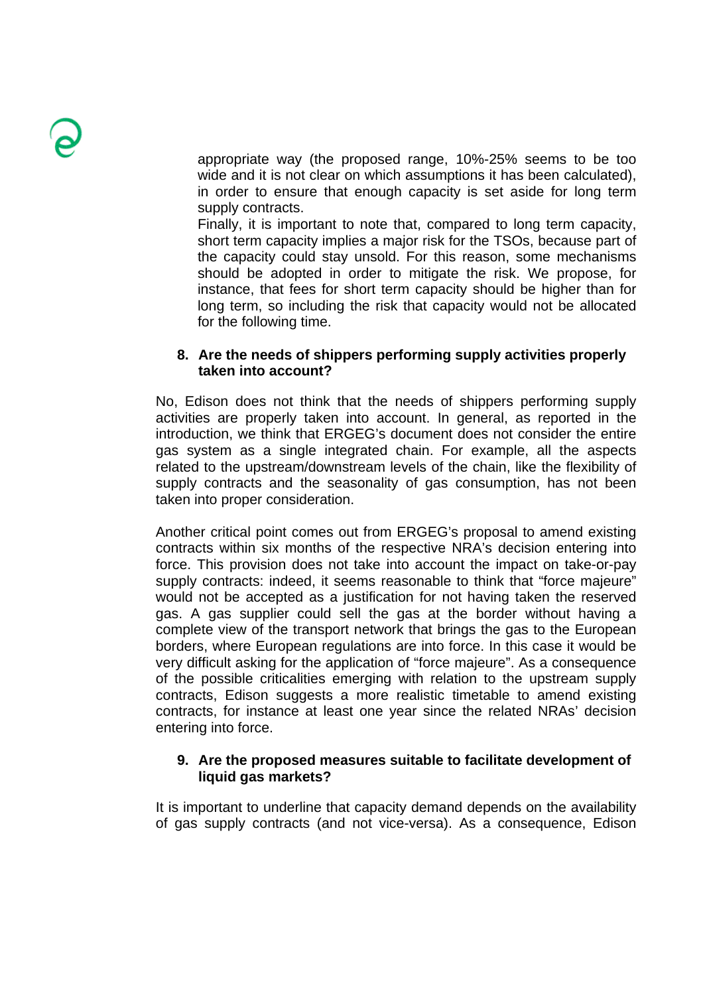appropriate way (the proposed range, 10%-25% seems to be too wide and it is not clear on which assumptions it has been calculated). in order to ensure that enough capacity is set aside for long term supply contracts.

Finally, it is important to note that, compared to long term capacity, short term capacity implies a major risk for the TSOs, because part of the capacity could stay unsold. For this reason, some mechanisms should be adopted in order to mitigate the risk. We propose, for instance, that fees for short term capacity should be higher than for long term, so including the risk that capacity would not be allocated for the following time.

### **8. Are the needs of shippers performing supply activities properly taken into account?**

No, Edison does not think that the needs of shippers performing supply activities are properly taken into account. In general, as reported in the introduction, we think that ERGEG's document does not consider the entire gas system as a single integrated chain. For example, all the aspects related to the upstream/downstream levels of the chain, like the flexibility of supply contracts and the seasonality of gas consumption, has not been taken into proper consideration.

Another critical point comes out from ERGEG's proposal to amend existing contracts within six months of the respective NRA's decision entering into force. This provision does not take into account the impact on take-or-pay supply contracts: indeed, it seems reasonable to think that "force majeure" would not be accepted as a justification for not having taken the reserved gas. A gas supplier could sell the gas at the border without having a complete view of the transport network that brings the gas to the European borders, where European regulations are into force. In this case it would be very difficult asking for the application of "force majeure". As a consequence of the possible criticalities emerging with relation to the upstream supply contracts, Edison suggests a more realistic timetable to amend existing contracts, for instance at least one year since the related NRAs' decision entering into force.

### **9. Are the proposed measures suitable to facilitate development of liquid gas markets?**

It is important to underline that capacity demand depends on the availability of gas supply contracts (and not vice-versa). As a consequence, Edison